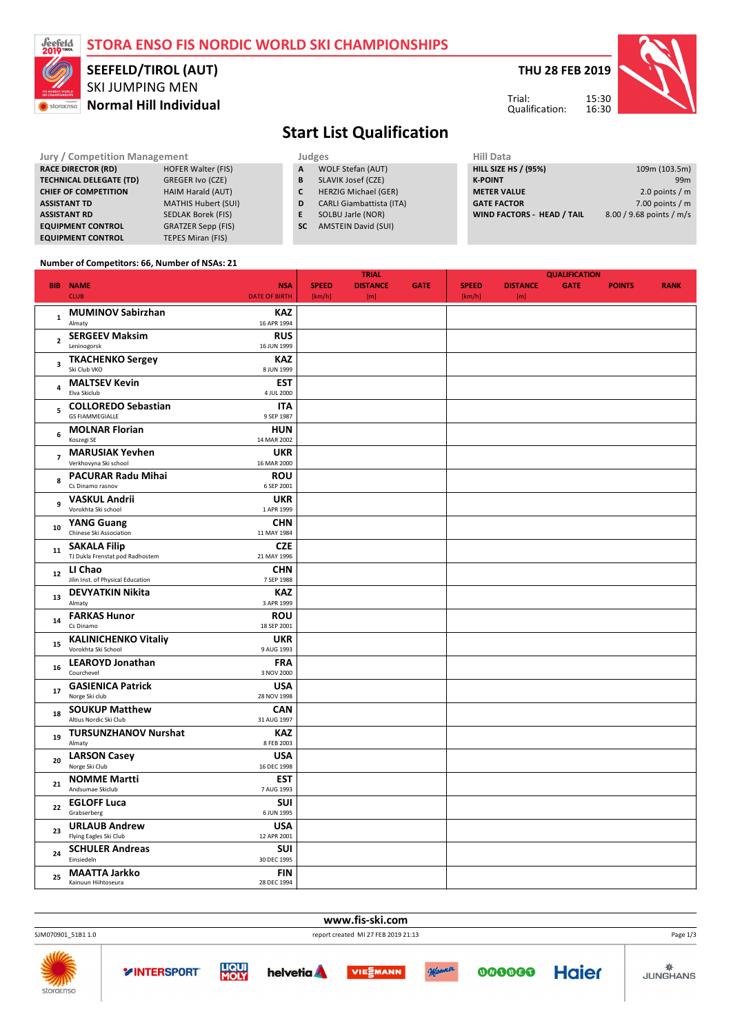#### **STORA ENSO FIS NORDIC WORLD SKI CHAMPIONSHIPS SEEFELD/TIROL (AUT) THU 28 FEB 2019** SKI JUMPING MEN Trial: 15:30 **Normal Hill Individual** storaenso Qualification: 16:30 **Start List Qualification Jury / Competition**

| <b>Jury / Competition Management</b>                   |                            |   |                   | <b>Judges</b>                   |  | Hill Data                  |  |  |
|--------------------------------------------------------|----------------------------|---|-------------------|---------------------------------|--|----------------------------|--|--|
| <b>RACE DIRECTOR (RD)</b><br><b>HOFER Walter (FIS)</b> |                            | A | WOLF Stefan (AUT) | <b>HILL SIZE HS / (95%)</b>     |  |                            |  |  |
| <b>TECHNICAL DELEGATE (TD)</b>                         | GREGER Ivo (CZE)           |   | B                 | SLAVIK Josef (CZE)              |  | <b>K-POINT</b>             |  |  |
| <b>CHIEF OF COMPETITION</b>                            | HAIM Harald (AUT)          |   |                   | <b>HERZIG Michael (GER)</b>     |  | <b>METER VALUE</b>         |  |  |
| <b>ASSISTANT TD</b>                                    | <b>MATHIS Hubert (SUI)</b> |   | D                 | <b>CARLI Giambattista (ITA)</b> |  | <b>GATE FACTOR</b>         |  |  |
| <b>ASSISTANT RD</b>                                    | <b>SEDLAK Borek (FIS)</b>  |   |                   | SOLBU Jarle (NOR)               |  | <b>WIND FACTORS - HEAI</b> |  |  |
| <b>EQUIPMENT CONTROL</b>                               | <b>GRATZER Sepp (FIS)</b>  |   | <b>SC</b>         | <b>AMSTEIN David (SUI)</b>      |  |                            |  |  |

| Hill Data                  |                          |
|----------------------------|--------------------------|
| HILL SIZE HS / (95%)       | 109m (103.5m)            |
| <b>K-POINT</b>             | 99 <sub>m</sub>          |
| <b>METER VALUE</b>         | 2.0 points $/m$          |
| <b>GATE FACTOR</b>         | 7.00 points $/m$         |
| WIND FACTORS - HEAD / TAIL | 8.00 / 9.68 points / m/s |
|                            |                          |

#### **Number of Competitors: 66, Number of NSAs: 21**

**EQUIPMENT CONTROL** TEPES Miran (FIS)

|                          |                                                 |                           |              | <b>TRIAL</b>    |             | <b>QUALIFICATION</b> |                 |             |               |             |  |
|--------------------------|-------------------------------------------------|---------------------------|--------------|-----------------|-------------|----------------------|-----------------|-------------|---------------|-------------|--|
|                          | <b>BIB NAME</b>                                 | <b>NSA</b>                | <b>SPEED</b> | <b>DISTANCE</b> | <b>GATE</b> | <b>SPEED</b>         | <b>DISTANCE</b> | <b>GATE</b> | <b>POINTS</b> | <b>RANK</b> |  |
|                          | <b>CLUB</b>                                     | <b>DATE OF BIRTH</b>      | [km/h]       | [m]             |             | [km/h]               | [m]             |             |               |             |  |
|                          | <b>MUMINOV Sabirzhan</b>                        | <b>KAZ</b>                |              |                 |             |                      |                 |             |               |             |  |
| $\mathbf{1}$             | Almaty                                          | 16 APR 1994               |              |                 |             |                      |                 |             |               |             |  |
|                          | <b>SERGEEV Maksim</b>                           | <b>RUS</b>                |              |                 |             |                      |                 |             |               |             |  |
| $\overline{\mathbf{2}}$  | Leninogorsk                                     | 16 JUN 1999               |              |                 |             |                      |                 |             |               |             |  |
|                          | <b>TKACHENKO Sergey</b>                         | <b>KAZ</b>                |              |                 |             |                      |                 |             |               |             |  |
| $\overline{\mathbf{3}}$  | Ski Club VKO                                    | 8 JUN 1999                |              |                 |             |                      |                 |             |               |             |  |
|                          |                                                 |                           |              |                 |             |                      |                 |             |               |             |  |
| 4                        | <b>MALTSEV Kevin</b><br>Elva Skiclub            | <b>EST</b><br>4 JUL 2000  |              |                 |             |                      |                 |             |               |             |  |
|                          | <b>COLLOREDO Sebastian</b>                      | <b>ITA</b>                |              |                 |             |                      |                 |             |               |             |  |
| 5                        | <b>GS FIAMMEGIALLE</b>                          | 9 SEP 1987                |              |                 |             |                      |                 |             |               |             |  |
|                          |                                                 |                           |              |                 |             |                      |                 |             |               |             |  |
| 6                        | <b>MOLNAR Florian</b><br>Koszegi SE             | <b>HUN</b><br>14 MAR 2002 |              |                 |             |                      |                 |             |               |             |  |
|                          |                                                 |                           |              |                 |             |                      |                 |             |               |             |  |
| $\overline{\phantom{a}}$ | <b>MARUSIAK Yevhen</b><br>Verkhovyna Ski school | <b>UKR</b><br>16 MAR 2000 |              |                 |             |                      |                 |             |               |             |  |
|                          |                                                 |                           |              |                 |             |                      |                 |             |               |             |  |
| 8                        | <b>PACURAR Radu Mihai</b>                       | <b>ROU</b>                |              |                 |             |                      |                 |             |               |             |  |
|                          | Cs Dinamo rasnov                                | 6 SEP 2001                |              |                 |             |                      |                 |             |               |             |  |
| 9                        | <b>VASKUL Andrii</b>                            | <b>UKR</b>                |              |                 |             |                      |                 |             |               |             |  |
|                          | Vorokhta Ski school                             | 1 APR 1999                |              |                 |             |                      |                 |             |               |             |  |
| 10                       | <b>YANG Guang</b>                               | <b>CHN</b>                |              |                 |             |                      |                 |             |               |             |  |
|                          | Chinese Ski Association                         | 11 MAY 1984               |              |                 |             |                      |                 |             |               |             |  |
| 11                       | <b>SAKALA Filip</b>                             | <b>CZE</b>                |              |                 |             |                      |                 |             |               |             |  |
|                          | TJ Dukla Frenstat pod Radhostem                 | 21 MAY 1996               |              |                 |             |                      |                 |             |               |             |  |
| $12\,$                   | LI Chao                                         | <b>CHN</b>                |              |                 |             |                      |                 |             |               |             |  |
|                          | Jilin Inst. of Physical Education               | 7 SEP 1988                |              |                 |             |                      |                 |             |               |             |  |
|                          | <b>DEVYATKIN Nikita</b>                         | <b>KAZ</b>                |              |                 |             |                      |                 |             |               |             |  |
| 13                       | Almaty                                          | 3 APR 1999                |              |                 |             |                      |                 |             |               |             |  |
|                          | <b>FARKAS Hunor</b>                             | <b>ROU</b>                |              |                 |             |                      |                 |             |               |             |  |
| 14                       | Cs Dinamo                                       | 18 SEP 2001               |              |                 |             |                      |                 |             |               |             |  |
|                          | <b>KALINICHENKO Vitaliy</b>                     | <b>UKR</b>                |              |                 |             |                      |                 |             |               |             |  |
| 15                       | Vorokhta Ski School                             | 9 AUG 1993                |              |                 |             |                      |                 |             |               |             |  |
|                          | <b>LEAROYD Jonathan</b>                         | <b>FRA</b>                |              |                 |             |                      |                 |             |               |             |  |
| 16                       | Courchevel                                      | 3 NOV 2000                |              |                 |             |                      |                 |             |               |             |  |
|                          | <b>GASIENICA Patrick</b>                        | <b>USA</b>                |              |                 |             |                      |                 |             |               |             |  |
| 17                       | Norge Ski club                                  | 28 NOV 1998               |              |                 |             |                      |                 |             |               |             |  |
|                          | <b>SOUKUP Matthew</b>                           | <b>CAN</b>                |              |                 |             |                      |                 |             |               |             |  |
| 18                       | Altius Nordic Ski Club                          | 31 AUG 1997               |              |                 |             |                      |                 |             |               |             |  |
|                          | <b>TURSUNZHANOV Nurshat</b>                     | <b>KAZ</b>                |              |                 |             |                      |                 |             |               |             |  |
| 19                       | Almaty                                          | 8 FEB 2003                |              |                 |             |                      |                 |             |               |             |  |
|                          | <b>LARSON Casey</b>                             | <b>USA</b>                |              |                 |             |                      |                 |             |               |             |  |
| 20                       | Norge Ski Club                                  | 16 DEC 1998               |              |                 |             |                      |                 |             |               |             |  |
|                          | <b>NOMME Martti</b>                             | <b>EST</b>                |              |                 |             |                      |                 |             |               |             |  |
| 21                       | Andsumae Skiclub                                | 7 AUG 1993                |              |                 |             |                      |                 |             |               |             |  |
|                          | <b>EGLOFF Luca</b>                              | <b>SUI</b>                |              |                 |             |                      |                 |             |               |             |  |
| 22                       | Grabserberg                                     | 6 JUN 1995                |              |                 |             |                      |                 |             |               |             |  |
|                          | <b>URLAUB Andrew</b>                            | <b>USA</b>                |              |                 |             |                      |                 |             |               |             |  |
| 23                       | Flying Eagles Ski Club                          | 12 APR 2001               |              |                 |             |                      |                 |             |               |             |  |
|                          | <b>SCHULER Andreas</b>                          | SUI                       |              |                 |             |                      |                 |             |               |             |  |
| 24                       | Einsiedeln                                      | 30 DEC 1995               |              |                 |             |                      |                 |             |               |             |  |
|                          | <b>MAATTA Jarkko</b>                            | <b>FIN</b>                |              |                 |             |                      |                 |             |               |             |  |
| 25                       | Kainuun Hiihtoseura                             | 28 DEC 1994               |              |                 |             |                      |                 |             |               |             |  |
|                          |                                                 |                           |              |                 |             |                      |                 |             |               |             |  |

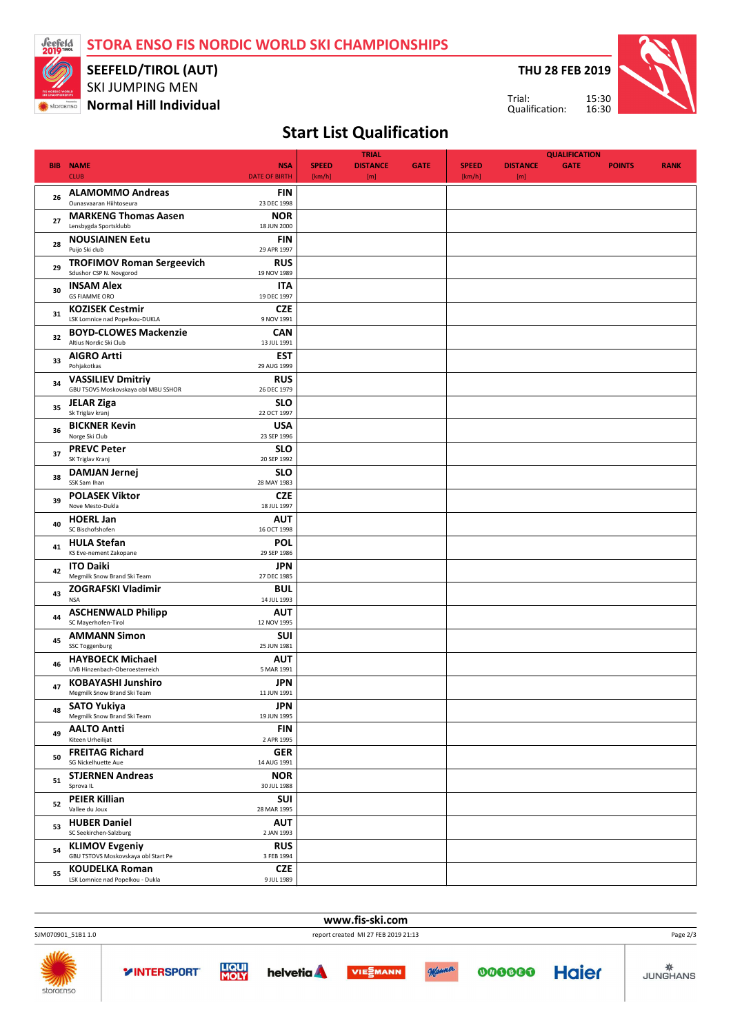**STORA ENSO FIS NORDIC WORLD SKI CHAMPIONSHIPS**



SKI JUMPING MEN **SEEFELD/TIROL (AUT)**

**K** storaenso **Normal Hill Individual** 

**THU 28 FEB 2019**



Qualification:

Trial:

# **Start List Qualification**

|            |                                                                 |                           | <b>TRIAL</b> |                 |             | <b>QUALIFICATION</b> |                 |             |               |             |  |
|------------|-----------------------------------------------------------------|---------------------------|--------------|-----------------|-------------|----------------------|-----------------|-------------|---------------|-------------|--|
| <b>BIB</b> | <b>NAME</b>                                                     | <b>NSA</b>                | <b>SPEED</b> | <b>DISTANCE</b> | <b>GATE</b> | <b>SPEED</b>         | <b>DISTANCE</b> | <b>GATE</b> | <b>POINTS</b> | <b>RANK</b> |  |
|            | <b>CLUB</b>                                                     | <b>DATE OF BIRTH</b>      | [km/h]       | [m]             |             | [km/h]               | [m]             |             |               |             |  |
| 26         | <b>ALAMOMMO Andreas</b><br>Ounasvaaran Hiihtoseura              | FIN<br>23 DEC 1998        |              |                 |             |                      |                 |             |               |             |  |
| 27         | <b>MARKENG Thomas Aasen</b><br>Lensbygda Sportsklubb            | <b>NOR</b><br>18 JUN 2000 |              |                 |             |                      |                 |             |               |             |  |
| 28         | <b>NOUSIAINEN Eetu</b><br>Puijo Ski club                        | FIN<br>29 APR 1997        |              |                 |             |                      |                 |             |               |             |  |
| 29         | <b>TROFIMOV Roman Sergeevich</b><br>Sdushor CSP N. Novgorod     | <b>RUS</b><br>19 NOV 1989 |              |                 |             |                      |                 |             |               |             |  |
| 30         | <b>INSAM Alex</b><br><b>GS FIAMME ORO</b>                       | ITA<br>19 DEC 1997        |              |                 |             |                      |                 |             |               |             |  |
| 31         | <b>KOZISEK Cestmir</b><br>LSK Lomnice nad Popelkou-DUKLA        | <b>CZE</b><br>9 NOV 1991  |              |                 |             |                      |                 |             |               |             |  |
| 32         | <b>BOYD-CLOWES Mackenzie</b><br>Altius Nordic Ski Club          | <b>CAN</b><br>13 JUL 1991 |              |                 |             |                      |                 |             |               |             |  |
| 33         | <b>AIGRO Artti</b><br>Pohjakotkas                               | <b>EST</b><br>29 AUG 1999 |              |                 |             |                      |                 |             |               |             |  |
| 34         | <b>VASSILIEV Dmitriy</b><br>GBU TSOVS Moskovskaya obl MBU SSHOR | <b>RUS</b>                |              |                 |             |                      |                 |             |               |             |  |
| 35         | <b>JELAR Ziga</b>                                               | 26 DEC 1979<br><b>SLO</b> |              |                 |             |                      |                 |             |               |             |  |
| 36         | Sk Triglav kranj<br><b>BICKNER Kevin</b>                        | 22 OCT 1997<br><b>USA</b> |              |                 |             |                      |                 |             |               |             |  |
| 37         | Norge Ski Club<br><b>PREVC Peter</b>                            | 23 SEP 1996<br><b>SLO</b> |              |                 |             |                      |                 |             |               |             |  |
| 38         | SK Triglav Kranj<br><b>DAMJAN Jernej</b><br>SSK Sam Ihan        | 20 SEP 1992<br><b>SLO</b> |              |                 |             |                      |                 |             |               |             |  |
| 39         | <b>POLASEK Viktor</b><br>Nove Mesto-Dukla                       | 28 MAY 1983<br><b>CZE</b> |              |                 |             |                      |                 |             |               |             |  |
| 40         | <b>HOERL Jan</b>                                                | 18 JUL 1997<br><b>AUT</b> |              |                 |             |                      |                 |             |               |             |  |
| 41         | SC Bischofshofen<br><b>HULA Stefan</b>                          | 16 OCT 1998<br><b>POL</b> |              |                 |             |                      |                 |             |               |             |  |
| 42         | KS Eve-nement Zakopane<br><b>ITO Daiki</b>                      | 29 SEP 1986<br><b>JPN</b> |              |                 |             |                      |                 |             |               |             |  |
| 43         | Megmilk Snow Brand Ski Team<br><b>ZOGRAFSKI Vladimir</b>        | 27 DEC 1985<br><b>BUL</b> |              |                 |             |                      |                 |             |               |             |  |
| 44         | <b>NSA</b><br><b>ASCHENWALD Philipp</b>                         | 14 JUL 1993<br><b>AUT</b> |              |                 |             |                      |                 |             |               |             |  |
| 45         | SC Mayerhofen-Tirol<br><b>AMMANN Simon</b>                      | 12 NOV 1995<br><b>SUI</b> |              |                 |             |                      |                 |             |               |             |  |
|            | SSC Toggenburg<br><b>HAYBOECK Michael</b>                       | 25 JUN 1981<br><b>AUT</b> |              |                 |             |                      |                 |             |               |             |  |
| 46         | UVB Hinzenbach-Oberoesterreich<br><b>KOBAYASHI Junshiro</b>     | 5 MAR 1991<br>JPN         |              |                 |             |                      |                 |             |               |             |  |
| 47         | Megmilk Snow Brand Ski Team<br><b>SATO Yukiya</b>               | 11 JUN 1991<br><b>JPN</b> |              |                 |             |                      |                 |             |               |             |  |
| 48         | Megmilk Snow Brand Ski Team<br><b>AALTO Antti</b>               | 19 JUN 1995<br><b>FIN</b> |              |                 |             |                      |                 |             |               |             |  |
| 49         | Kiteen Urheilijat<br><b>FREITAG Richard</b>                     | 2 APR 1995<br><b>GER</b>  |              |                 |             |                      |                 |             |               |             |  |
| 50         | SG Nickelhuette Aue<br><b>STJERNEN Andreas</b>                  | 14 AUG 1991<br><b>NOR</b> |              |                 |             |                      |                 |             |               |             |  |
| 51         | Sprova IL                                                       | 30 JUL 1988               |              |                 |             |                      |                 |             |               |             |  |
| 52         | <b>PEIER Killian</b><br>Vallee du Joux                          | <b>SUI</b><br>28 MAR 1995 |              |                 |             |                      |                 |             |               |             |  |
| 53         | <b>HUBER Daniel</b><br>SC Seekirchen-Salzburg                   | <b>AUT</b><br>2 JAN 1993  |              |                 |             |                      |                 |             |               |             |  |
| 54         | <b>KLIMOV Evgeniy</b><br>GBU TSTOVS Moskovskaya obl Start Pe    | <b>RUS</b><br>3 FEB 1994  |              |                 |             |                      |                 |             |               |             |  |
| 55         | <b>KOUDELKA Roman</b><br>LSK Lomnice nad Popelkou - Dukla       | <b>CZE</b><br>9 JUL 1989  |              |                 |             |                      |                 |             |               |             |  |